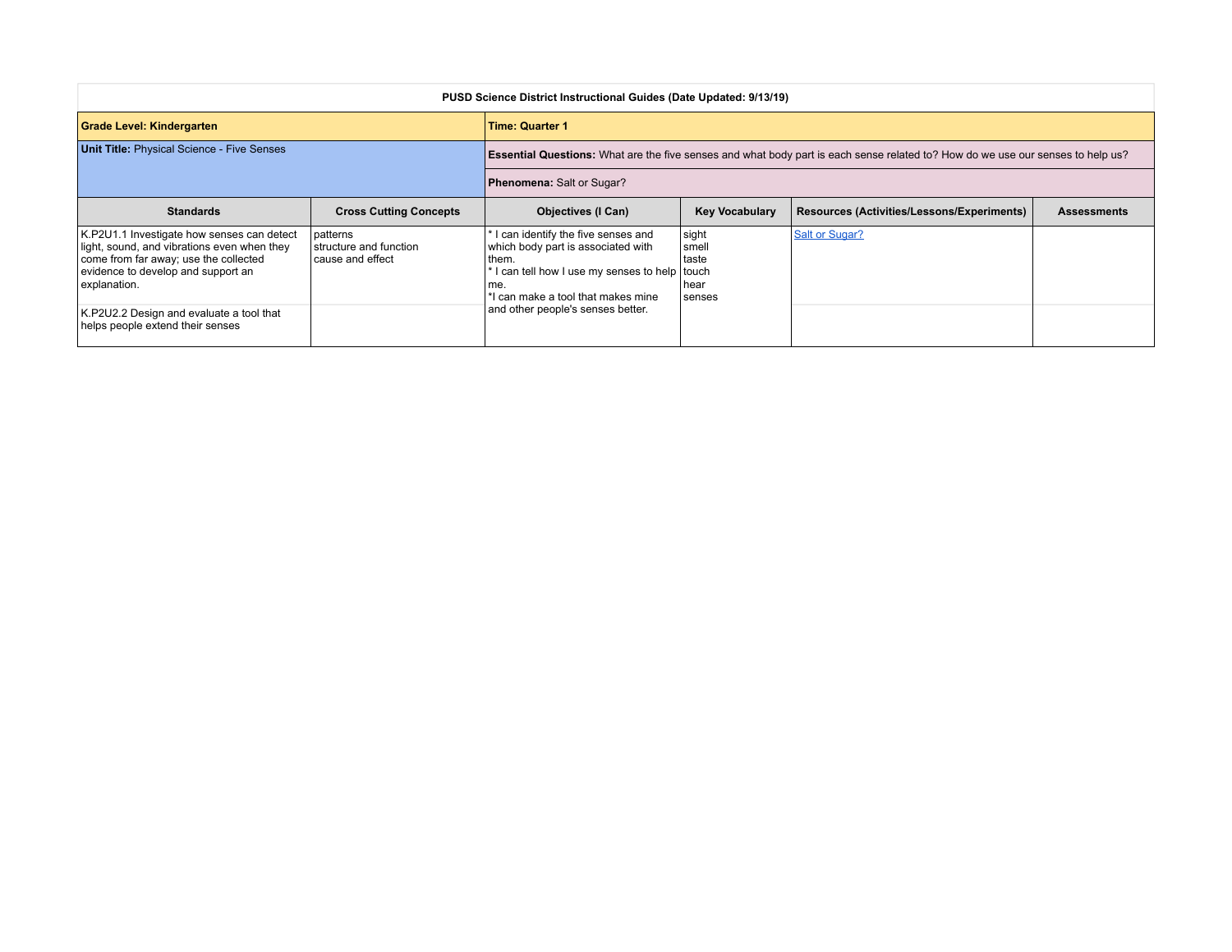| PUSD Science District Instructional Guides (Date Updated: 9/13/19)                                                                                                                       |                                                          |                                                                                                                                                                                                                    |                                            |                                            |                    |  |
|------------------------------------------------------------------------------------------------------------------------------------------------------------------------------------------|----------------------------------------------------------|--------------------------------------------------------------------------------------------------------------------------------------------------------------------------------------------------------------------|--------------------------------------------|--------------------------------------------|--------------------|--|
| Grade Level: Kindergarten                                                                                                                                                                |                                                          | <b>Time: Quarter 1</b>                                                                                                                                                                                             |                                            |                                            |                    |  |
| <b>Unit Title: Physical Science - Five Senses</b>                                                                                                                                        |                                                          | Essential Questions: What are the five senses and what body part is each sense related to? How do we use our senses to help us?                                                                                    |                                            |                                            |                    |  |
|                                                                                                                                                                                          |                                                          | Phenomena: Salt or Sugar?                                                                                                                                                                                          |                                            |                                            |                    |  |
| <b>Standards</b>                                                                                                                                                                         | <b>Cross Cutting Concepts</b>                            | <b>Objectives (I Can)</b>                                                                                                                                                                                          | <b>Key Vocabulary</b>                      | Resources (Activities/Lessons/Experiments) | <b>Assessments</b> |  |
| K.P2U1.1 Investigate how senses can detect<br>light, sound, and vibrations even when they<br>come from far away; use the collected<br>evidence to develop and support an<br>explanation. | patterns<br>structure and function<br>I cause and effect | I can identify the five senses and<br>which body part is associated with<br>them.<br>I can tell how I use my senses to help touch<br>me.<br>I can make a tool that makes mine<br>and other people's senses better. | sight<br>smel<br>Itaste<br>Thear<br>senses | <b>Salt or Sugar?</b>                      |                    |  |
| K.P2U2.2 Design and evaluate a tool that<br>helps people extend their senses                                                                                                             |                                                          |                                                                                                                                                                                                                    |                                            |                                            |                    |  |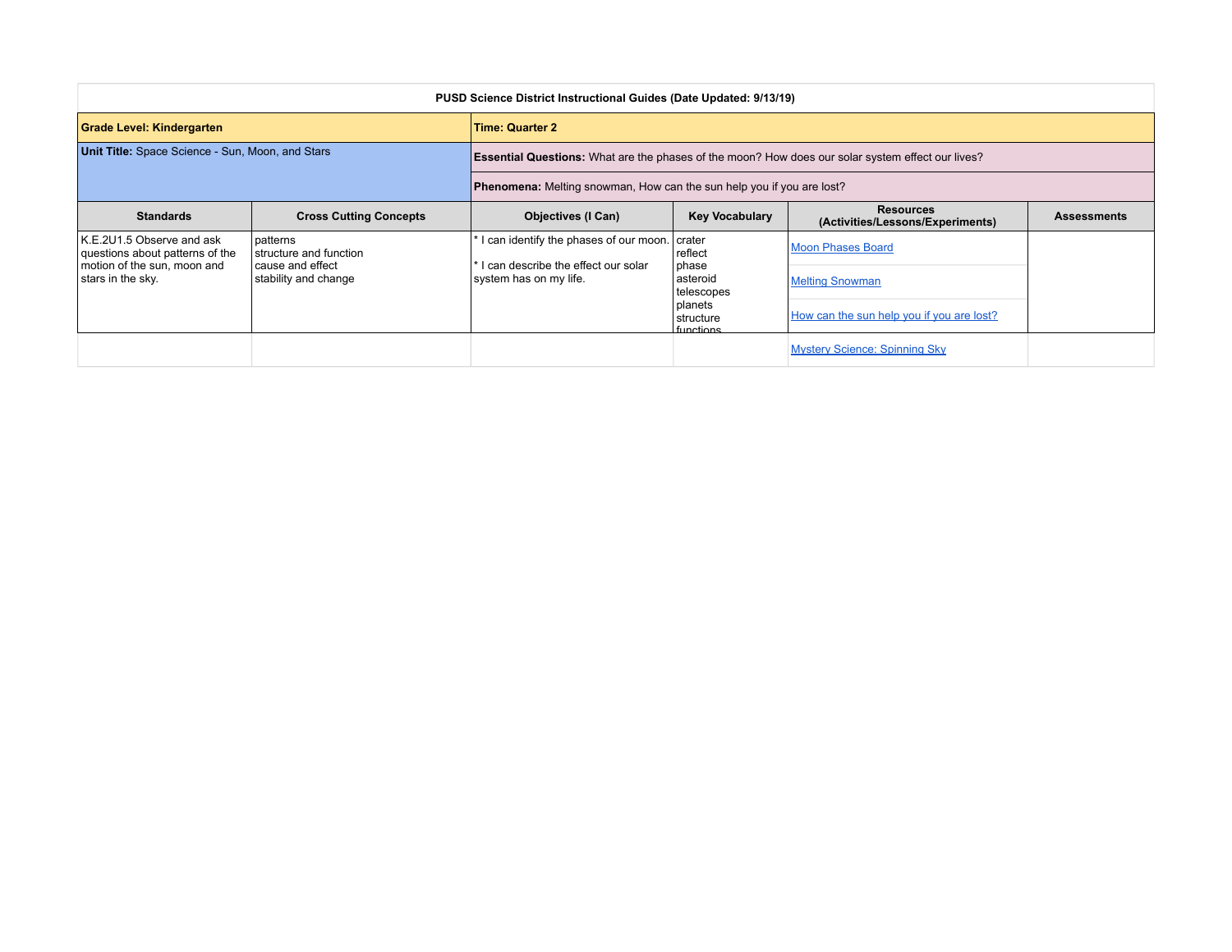| PUSD Science District Instructional Guides (Date Updated: 9/13/19)                                                 |                                                                                  |                                                                                                                |                                                                                                       |                                                                                                 |                    |  |
|--------------------------------------------------------------------------------------------------------------------|----------------------------------------------------------------------------------|----------------------------------------------------------------------------------------------------------------|-------------------------------------------------------------------------------------------------------|-------------------------------------------------------------------------------------------------|--------------------|--|
| Grade Level: Kindergarten                                                                                          |                                                                                  | <b>Time: Quarter 2</b>                                                                                         |                                                                                                       |                                                                                                 |                    |  |
| Unit Title: Space Science - Sun, Moon, and Stars                                                                   |                                                                                  | <b>Essential Questions:</b> What are the phases of the moon? How does our solar system effect our lives?       |                                                                                                       |                                                                                                 |                    |  |
|                                                                                                                    |                                                                                  | Phenomena: Melting snowman, How can the sun help you if you are lost?                                          |                                                                                                       |                                                                                                 |                    |  |
| <b>Standards</b>                                                                                                   | <b>Cross Cutting Concepts</b>                                                    | <b>Objectives (I Can)</b>                                                                                      | <b>Key Vocabulary</b>                                                                                 | <b>Resources</b><br>(Activities/Lessons/Experiments)                                            | <b>Assessments</b> |  |
| K.E.2U1.5 Observe and ask<br>questions about patterns of the<br>I motion of the sun, moon and<br>stars in the sky. | patterns<br>structure and function<br>l cause and effect<br>stability and change | I can identify the phases of our moon. crater<br>I can describe the effect our solar<br>system has on my life. | reflect<br><b>I</b> phase<br> asteroid<br>telescopes<br>l planets<br>Istructure<br><u>I functions</u> | <b>Moon Phases Board</b><br><b>Melting Snowman</b><br>How can the sun help you if you are lost? |                    |  |
|                                                                                                                    |                                                                                  |                                                                                                                |                                                                                                       | <b>Mystery Science: Spinning Sky</b>                                                            |                    |  |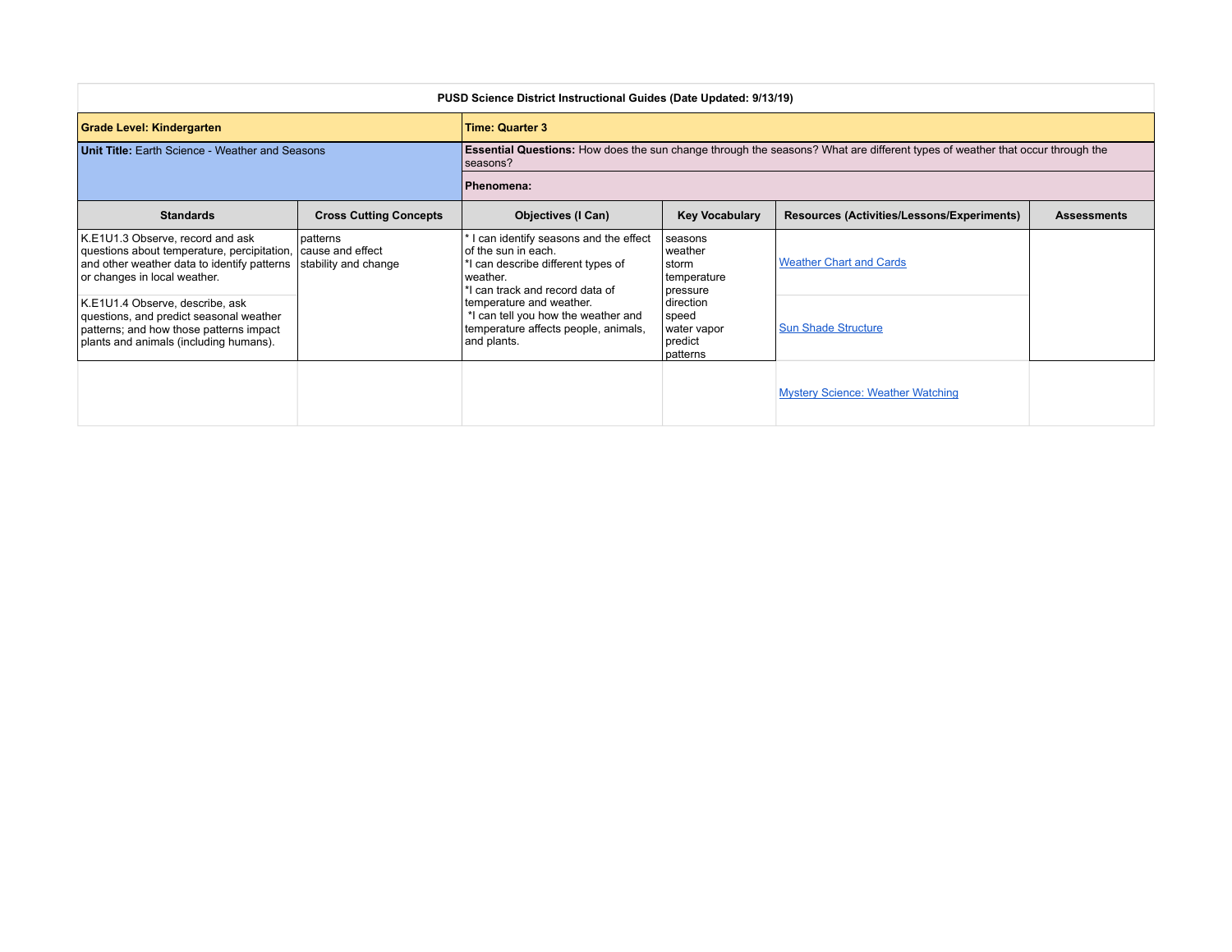| PUSD Science District Instructional Guides (Date Updated: 9/13/19)                                                                                                              |                                  |                                                                                                                                                                                                                                                                             |                                                                                                                    |                                            |                    |  |
|---------------------------------------------------------------------------------------------------------------------------------------------------------------------------------|----------------------------------|-----------------------------------------------------------------------------------------------------------------------------------------------------------------------------------------------------------------------------------------------------------------------------|--------------------------------------------------------------------------------------------------------------------|--------------------------------------------|--------------------|--|
| <b>Grade Level: Kindergarten</b>                                                                                                                                                |                                  | <b>Time: Quarter 3</b>                                                                                                                                                                                                                                                      |                                                                                                                    |                                            |                    |  |
| <b>Unit Title: Earth Science - Weather and Seasons</b>                                                                                                                          |                                  | <b>Essential Questions:</b> How does the sun change through the seasons? What are different types of weather that occur through the<br>seasons?                                                                                                                             |                                                                                                                    |                                            |                    |  |
|                                                                                                                                                                                 |                                  | Phenomena:                                                                                                                                                                                                                                                                  |                                                                                                                    |                                            |                    |  |
| <b>Standards</b>                                                                                                                                                                | <b>Cross Cutting Concepts</b>    | <b>Objectives (I Can)</b>                                                                                                                                                                                                                                                   | <b>Key Vocabulary</b>                                                                                              | Resources (Activities/Lessons/Experiments) | <b>Assessments</b> |  |
| K.E1U1.3 Observe, record and ask<br>questions about temperature, percipitation, cause and effect<br>and other weather data to identify patterns<br>or changes in local weather. | patterns<br>stability and change | I can identify seasons and the effect<br>of the sun in each.<br>*I can describe different types of<br>weather.<br>*I can track and record data of<br>temperature and weather.<br>*I can tell you how the weather and<br>temperature affects people, animals,<br>and plants. | seasons<br>weather<br>storm<br>temperature<br>pressure<br>direction<br>speed<br>water vapor<br>predict<br>patterns | <b>Weather Chart and Cards</b>             |                    |  |
| K.E1U1.4 Observe, describe, ask<br>questions, and predict seasonal weather<br>patterns; and how those patterns impact<br>plants and animals (including humans).                 |                                  |                                                                                                                                                                                                                                                                             |                                                                                                                    | <b>Sun Shade Structure</b>                 |                    |  |
|                                                                                                                                                                                 |                                  |                                                                                                                                                                                                                                                                             |                                                                                                                    | <b>Mystery Science: Weather Watching</b>   |                    |  |